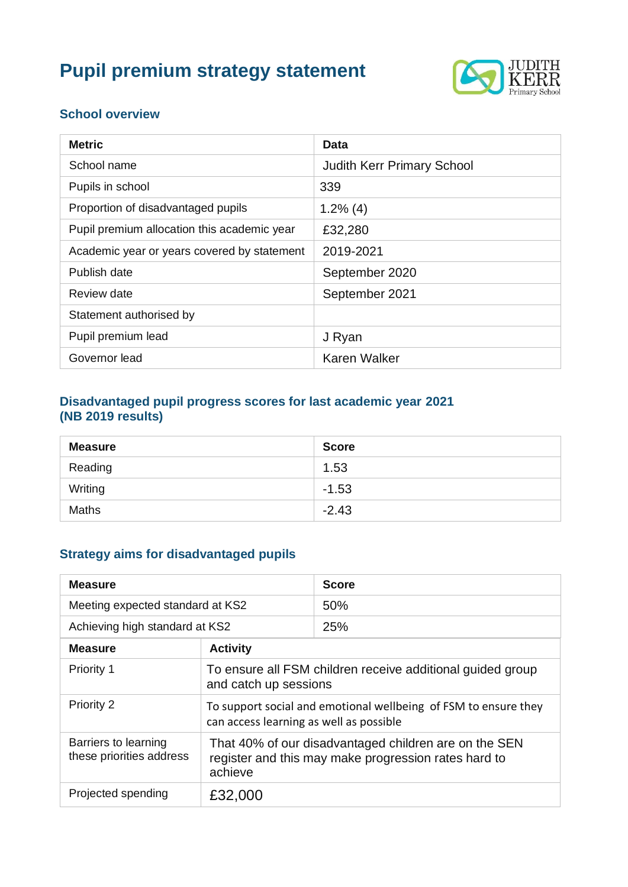# **Pupil premium strategy statement**



#### **School overview**

| <b>Metric</b>                               | Data                              |
|---------------------------------------------|-----------------------------------|
| School name                                 | <b>Judith Kerr Primary School</b> |
| Pupils in school                            | 339                               |
| Proportion of disadvantaged pupils          | $1.2\%$ (4)                       |
| Pupil premium allocation this academic year | £32,280                           |
| Academic year or years covered by statement | 2019-2021                         |
| Publish date                                | September 2020                    |
| Review date                                 | September 2021                    |
| Statement authorised by                     |                                   |
| Pupil premium lead                          | J Ryan                            |
| Governor lead                               | <b>Karen Walker</b>               |

#### **Disadvantaged pupil progress scores for last academic year 2021 (NB 2019 results)**

| <b>Measure</b> | <b>Score</b> |
|----------------|--------------|
| Reading        | 1.53         |
| Writing        | $-1.53$      |
| <b>Maths</b>   | $-2.43$      |

## **Strategy aims for disadvantaged pupils**

| <b>Measure</b>                                   |                                                                                                                          | <b>Score</b> |
|--------------------------------------------------|--------------------------------------------------------------------------------------------------------------------------|--------------|
| Meeting expected standard at KS2                 |                                                                                                                          | 50%          |
| Achieving high standard at KS2                   |                                                                                                                          | 25%          |
| <b>Measure</b>                                   | <b>Activity</b>                                                                                                          |              |
| Priority 1                                       | To ensure all FSM children receive additional guided group<br>and catch up sessions                                      |              |
| Priority 2                                       | To support social and emotional wellbeing of FSM to ensure they<br>can access learning as well as possible               |              |
| Barriers to learning<br>these priorities address | That 40% of our disadvantaged children are on the SEN<br>register and this may make progression rates hard to<br>achieve |              |
| Projected spending                               | £32,000                                                                                                                  |              |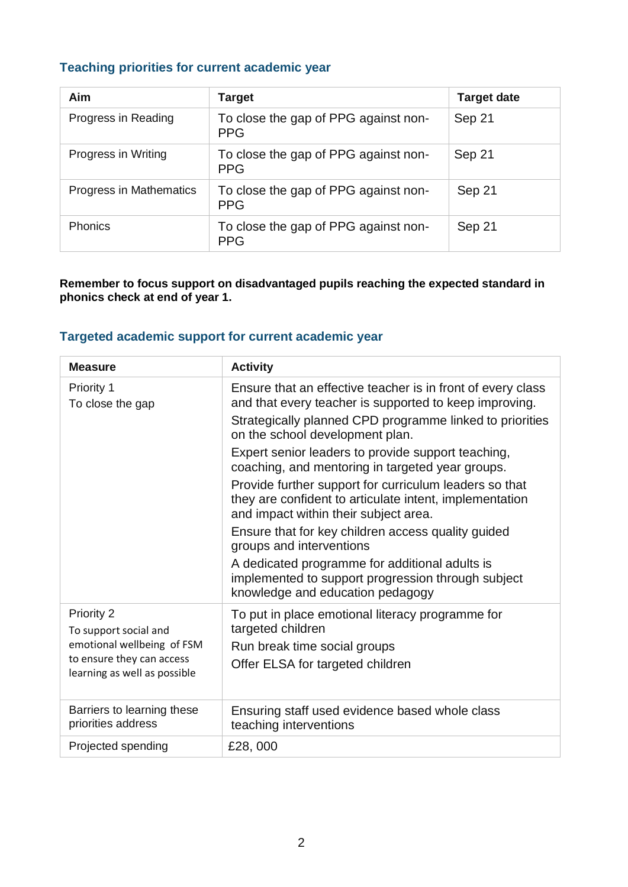#### **Teaching priorities for current academic year**

| <b>Aim</b>              | <b>Target</b>                                      | <b>Target date</b> |
|-------------------------|----------------------------------------------------|--------------------|
| Progress in Reading     | To close the gap of PPG against non-<br><b>PPG</b> | Sep 21             |
| Progress in Writing     | To close the gap of PPG against non-<br><b>PPG</b> | Sep 21             |
| Progress in Mathematics | To close the gap of PPG against non-<br><b>PPG</b> | Sep 21             |
| <b>Phonics</b>          | To close the gap of PPG against non-<br><b>PPG</b> | Sep 21             |

**Remember to focus support on disadvantaged pupils reaching the expected standard in phonics check at end of year 1.**

#### **Targeted academic support for current academic year**

| <b>Measure</b>                                            | <b>Activity</b>                                                                                                                                            |
|-----------------------------------------------------------|------------------------------------------------------------------------------------------------------------------------------------------------------------|
| Priority 1<br>To close the gap                            | Ensure that an effective teacher is in front of every class<br>and that every teacher is supported to keep improving.                                      |
|                                                           | Strategically planned CPD programme linked to priorities<br>on the school development plan.                                                                |
|                                                           | Expert senior leaders to provide support teaching,<br>coaching, and mentoring in targeted year groups.                                                     |
|                                                           | Provide further support for curriculum leaders so that<br>they are confident to articulate intent, implementation<br>and impact within their subject area. |
|                                                           | Ensure that for key children access quality guided<br>groups and interventions                                                                             |
|                                                           | A dedicated programme for additional adults is<br>implemented to support progression through subject<br>knowledge and education pedagogy                   |
| Priority 2<br>To support social and                       | To put in place emotional literacy programme for<br>targeted children                                                                                      |
| emotional wellbeing of FSM                                | Run break time social groups                                                                                                                               |
| to ensure they can access<br>learning as well as possible | Offer ELSA for targeted children                                                                                                                           |
| Barriers to learning these<br>priorities address          | Ensuring staff used evidence based whole class<br>teaching interventions                                                                                   |
| Projected spending                                        | £28,000                                                                                                                                                    |